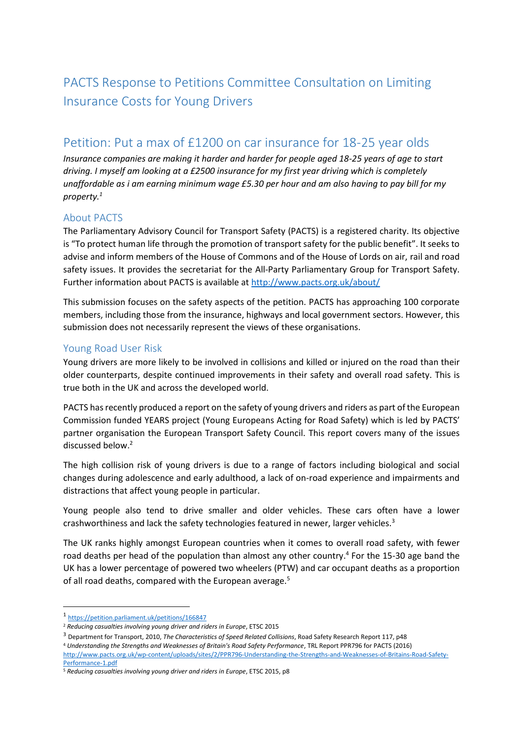# PACTS Response to Petitions Committee Consultation on Limiting Insurance Costs for Young Drivers

## Petition: Put a max of £1200 on car insurance for 18-25 year olds

*Insurance companies are making it harder and harder for people aged 18-25 years of age to start driving. I myself am looking at a £2500 insurance for my first year driving which is completely unaffordable as i am earning minimum wage £5.30 per hour and am also having to pay bill for my property.<sup>1</sup>*

## About PACTS

The Parliamentary Advisory Council for Transport Safety (PACTS) is a registered charity. Its objective is "To protect human life through the promotion of transport safety for the public benefit". It seeks to advise and inform members of the House of Commons and of the House of Lords on air, rail and road safety issues. It provides the secretariat for the All-Party Parliamentary Group for Transport Safety. Further information about PACTS is available at <http://www.pacts.org.uk/about/>

This submission focuses on the safety aspects of the petition. PACTS has approaching 100 corporate members, including those from the insurance, highways and local government sectors. However, this submission does not necessarily represent the views of these organisations.

#### Young Road User Risk

Young drivers are more likely to be involved in collisions and killed or injured on the road than their older counterparts, despite continued improvements in their safety and overall road safety. This is true both in the UK and across the developed world.

PACTS has recently produced a report on the safety of young drivers and riders as part of the European Commission funded YEARS project (Young Europeans Acting for Road Safety) which is led by PACTS' partner organisation the European Transport Safety Council. This report covers many of the issues discussed below.<sup>2</sup>

The high collision risk of young drivers is due to a range of factors including biological and social changes during adolescence and early adulthood, a lack of on-road experience and impairments and distractions that affect young people in particular.

Young people also tend to drive smaller and older vehicles. These cars often have a lower crashworthiness and lack the safety technologies featured in newer, larger vehicles.<sup>3</sup>

The UK ranks highly amongst European countries when it comes to overall road safety, with fewer road deaths per head of the population than almost any other country.<sup>4</sup> For the 15-30 age band the UK has a lower percentage of powered two wheelers (PTW) and car occupant deaths as a proportion of all road deaths, compared with the European average.<sup>5</sup>

**.** 

<sup>1</sup> <https://petition.parliament.uk/petitions/166847>

<sup>2</sup> *Reducing casualties involving young driver and riders in Europe*, ETSC 2015

<sup>3</sup> Department for Transport, 2010, *The Characteristics of Speed Related Collisions*, Road Safety Research Report 117, p48

<sup>4</sup> *Understanding the Strengths and Weaknesses of Britain's Road Safety Performance*, TRL Report PPR796 for PACTS (2016) [http://www.pacts.org.uk/wp-content/uploads/sites/2/PPR796-Understanding-the-Strengths-and-Weaknesses-of-Britains-Road-Safety-](http://www.pacts.org.uk/wp-content/uploads/sites/2/PPR796-Understanding-the-Strengths-and-Weaknesses-of-Britains-Road-Safety-Performance-1.pdf)[Performance-1.pdf](http://www.pacts.org.uk/wp-content/uploads/sites/2/PPR796-Understanding-the-Strengths-and-Weaknesses-of-Britains-Road-Safety-Performance-1.pdf)

<sup>5</sup> *Reducing casualties involving young driver and riders in Europe*, ETSC 2015, p8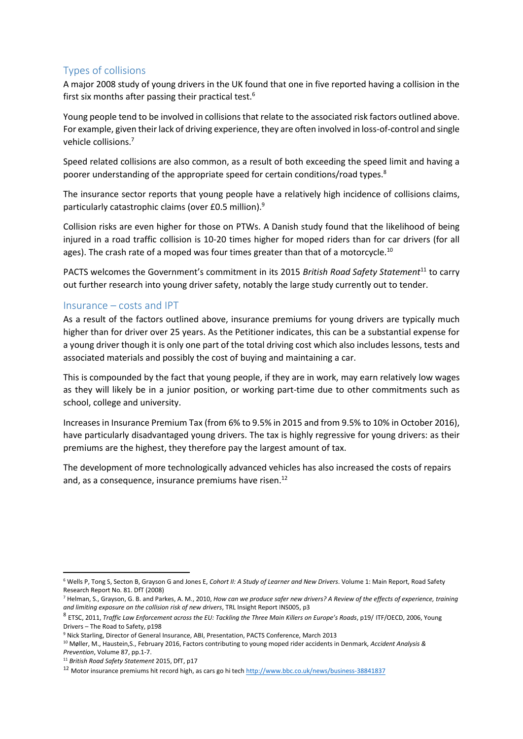## Types of collisions

A major 2008 study of young drivers in the UK found that one in five reported having a collision in the first six months after passing their practical test.<sup>6</sup>

Young people tend to be involved in collisions that relate to the associated risk factors outlined above. For example, given their lack of driving experience, they are often involved in loss-of-control and single vehicle collisions.<sup>7</sup>

Speed related collisions are also common, as a result of both exceeding the speed limit and having a poorer understanding of the appropriate speed for certain conditions/road types.<sup>8</sup>

The insurance sector reports that young people have a relatively high incidence of collisions claims, particularly catastrophic claims (over £0.5 million).<sup>9</sup>

Collision risks are even higher for those on PTWs. A Danish study found that the likelihood of being injured in a road traffic collision is 10-20 times higher for moped riders than for car drivers (for all ages). The crash rate of a moped was four times greater than that of a motorcycle.<sup>10</sup>

PACTS welcomes the Government's commitment in its 2015 *British Road Safety Statement*<sup>11</sup> to carry out further research into young driver safety, notably the large study currently out to tender.

#### Insurance – costs and IPT

As a result of the factors outlined above, insurance premiums for young drivers are typically much higher than for driver over 25 years. As the Petitioner indicates, this can be a substantial expense for a young driver though it is only one part of the total driving cost which also includes lessons, tests and associated materials and possibly the cost of buying and maintaining a car.

This is compounded by the fact that young people, if they are in work, may earn relatively low wages as they will likely be in a junior position, or working part-time due to other commitments such as school, college and university.

Increases in Insurance Premium Tax (from 6% to 9.5% in 2015 and from 9.5% to 10% in October 2016), have particularly disadvantaged young drivers. The tax is highly regressive for young drivers: as their premiums are the highest, they therefore pay the largest amount of tax.

The development of more technologically advanced vehicles has also increased the costs of repairs and, as a consequence, insurance premiums have risen.<sup>12</sup>

**.** 

<sup>6</sup> Wells P, Tong S, Secton B, Grayson G and Jones E, *Cohort II: A Study of Learner and New Drivers*. Volume 1: Main Report, Road Safety Research Report No. 81. DfT (2008)

<sup>7</sup> Helman, S., Grayson, G. B. and Parkes, A. M., 2010, *How can we produce safer new drivers? A Review of the effects of experience, training and limiting exposure on the collision risk of new drivers*, TRL Insight Report INS005, p3

<sup>8</sup> ETSC, 2011, *Traffic Law Enforcement across the EU: Tackling the Three Main Killers on Europe's Roads*, p19/ ITF/OECD, 2006, Young Drivers – The Road to Safety, p198

<sup>9</sup> Nick Starling, Director of General Insurance, ABI, Presentation, PACTS Conference, March 2013

<sup>10</sup> Møller, M., Haustein,S., February 2016, Factors contributing to young moped rider accidents in Denmark, *Accident Analysis & Prevention*, Volume 87, pp.1-7.

<sup>11</sup> *British Road Safety Statement* 2015, DfT, p17

<sup>12</sup> Motor insurance premiums hit record high, as cars go hi tech <http://www.bbc.co.uk/news/business-38841837>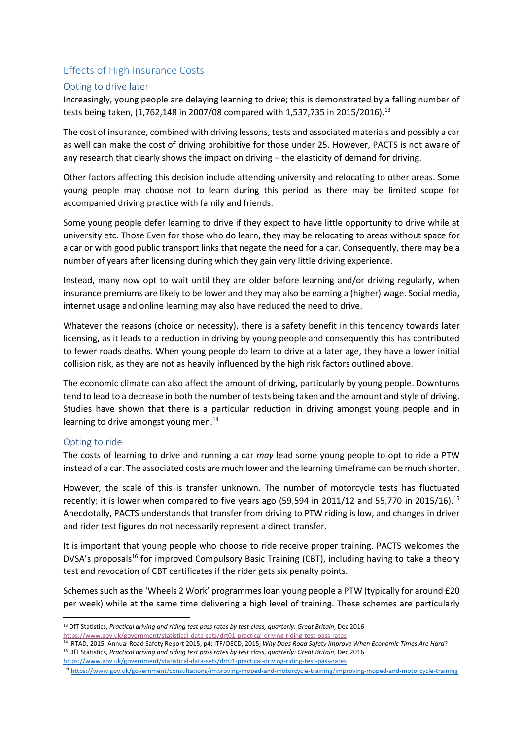## Effects of High Insurance Costs

#### Opting to drive later

Increasingly, young people are delaying learning to drive; this is demonstrated by a falling number of tests being taken, (1,762,148 in 2007/08 compared with 1,537,735 in 2015/2016).<sup>13</sup>

The cost of insurance, combined with driving lessons, tests and associated materials and possibly a car as well can make the cost of driving prohibitive for those under 25. However, PACTS is not aware of any research that clearly shows the impact on driving – the elasticity of demand for driving.

Other factors affecting this decision include attending university and relocating to other areas. Some young people may choose not to learn during this period as there may be limited scope for accompanied driving practice with family and friends.

Some young people defer learning to drive if they expect to have little opportunity to drive while at university etc. Those Even for those who do learn, they may be relocating to areas without space for a car or with good public transport links that negate the need for a car. Consequently, there may be a number of years after licensing during which they gain very little driving experience.

Instead, many now opt to wait until they are older before learning and/or driving regularly, when insurance premiums are likely to be lower and they may also be earning a (higher) wage. Social media, internet usage and online learning may also have reduced the need to drive.

Whatever the reasons (choice or necessity), there is a safety benefit in this tendency towards later licensing, as it leads to a reduction in driving by young people and consequently this has contributed to fewer roads deaths. When young people do learn to drive at a later age, they have a lower initial collision risk, as they are not as heavily influenced by the high risk factors outlined above.

The economic climate can also affect the amount of driving, particularly by young people. Downturns tend to lead to a decrease in both the number of tests being taken and the amount and style of driving. Studies have shown that there is a particular reduction in driving amongst young people and in learning to drive amongst young men.<sup>14</sup>

#### Opting to ride

 $\overline{a}$ 

The costs of learning to drive and running a car *may* lead some young people to opt to ride a PTW instead of a car. The associated costs are much lower and the learning timeframe can be much shorter.

However, the scale of this is transfer unknown. The number of motorcycle tests has fluctuated recently; it is lower when compared to five years ago (59,594 in 2011/12 and 55,770 in 2015/16).<sup>15</sup> Anecdotally, PACTS understands that transfer from driving to PTW riding is low, and changes in driver and rider test figures do not necessarily represent a direct transfer.

It is important that young people who choose to ride receive proper training. PACTS welcomes the DVSA's proposals<sup>16</sup> for improved Compulsory Basic Training (CBT), including having to take a theory test and revocation of CBT certificates if the rider gets six penalty points.

Schemes such as the 'Wheels 2 Work' programmes loan young people a PTW (typically for around £20 per week) while at the same time delivering a high level of training. These schemes are particularly

<sup>&</sup>lt;sup>13</sup> DfT Statistics, Practical driving and riding test pass rates by test class, quarterly: Great Britain, Dec 2016 <https://www.gov.uk/government/statistical-data-sets/drt01-practical-driving-riding-test-pass-rates>

<sup>14</sup> IRTAD, 2015, Annual Road Safety Report 2015, p4; ITF/OECD, 2015, *Why Does Road Safety Improve When Economic Times Are Hard*? <sup>15</sup> DfT Statistics, Practical driving and riding test pass rates by test class, quarterly: Great Britain, Dec 2016

<https://www.gov.uk/government/statistical-data-sets/drt01-practical-driving-riding-test-pass-rates>

<sup>16</sup> <https://www.gov.uk/government/consultations/improving-moped-and-motorcycle-training/improving-moped-and-motorcycle-training>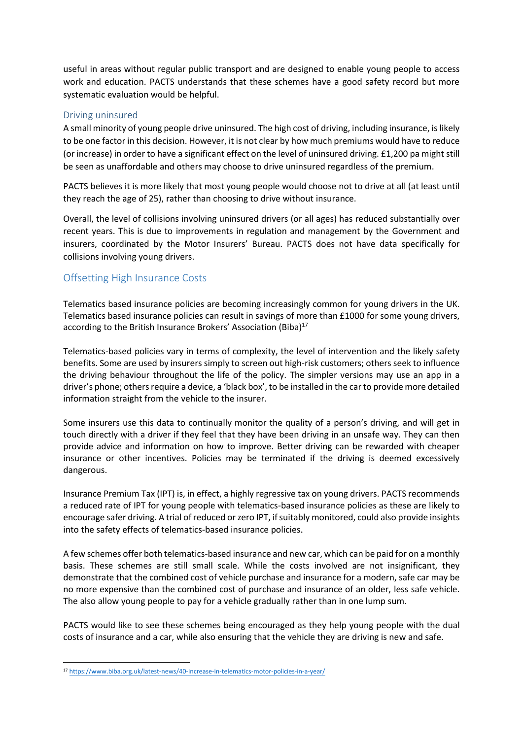useful in areas without regular public transport and are designed to enable young people to access work and education. PACTS understands that these schemes have a good safety record but more systematic evaluation would be helpful.

#### Driving uninsured

A small minority of young people drive uninsured. The high cost of driving, including insurance, is likely to be one factor in this decision. However, it is not clear by how much premiums would have to reduce (or increase) in order to have a significant effect on the level of uninsured driving. £1,200 pa might still be seen as unaffordable and others may choose to drive uninsured regardless of the premium.

PACTS believes it is more likely that most young people would choose not to drive at all (at least until they reach the age of 25), rather than choosing to drive without insurance.

Overall, the level of collisions involving uninsured drivers (or all ages) has reduced substantially over recent years. This is due to improvements in regulation and management by the Government and insurers, coordinated by the Motor Insurers' Bureau. PACTS does not have data specifically for collisions involving young drivers.

## Offsetting High Insurance Costs

Telematics based insurance policies are becoming increasingly common for young drivers in the UK. Telematics based insurance policies can result in savings of more than £1000 for some young drivers, according to the British Insurance Brokers' Association (Biba)<sup>17</sup>

Telematics-based policies vary in terms of complexity, the level of intervention and the likely safety benefits. Some are used by insurers simply to screen out high-risk customers; others seek to influence the driving behaviour throughout the life of the policy. The simpler versions may use an app in a driver's phone; others require a device, a 'black box', to be installed in the car to provide more detailed information straight from the vehicle to the insurer.

Some insurers use this data to continually monitor the quality of a person's driving, and will get in touch directly with a driver if they feel that they have been driving in an unsafe way. They can then provide advice and information on how to improve. Better driving can be rewarded with cheaper insurance or other incentives. Policies may be terminated if the driving is deemed excessively dangerous.

Insurance Premium Tax (IPT) is, in effect, a highly regressive tax on young drivers. PACTS recommends a reduced rate of IPT for young people with telematics-based insurance policies as these are likely to encourage safer driving. A trial of reduced or zero IPT, if suitably monitored, could also provide insights into the safety effects of telematics-based insurance policies.

A few schemes offer both telematics-based insurance and new car, which can be paid for on a monthly basis. These schemes are still small scale. While the costs involved are not insignificant, they demonstrate that the combined cost of vehicle purchase and insurance for a modern, safe car may be no more expensive than the combined cost of purchase and insurance of an older, less safe vehicle. The also allow young people to pay for a vehicle gradually rather than in one lump sum.

PACTS would like to see these schemes being encouraged as they help young people with the dual costs of insurance and a car, while also ensuring that the vehicle they are driving is new and safe.

 $\overline{a}$ 

<sup>17</sup> <https://www.biba.org.uk/latest-news/40-increase-in-telematics-motor-policies-in-a-year/>